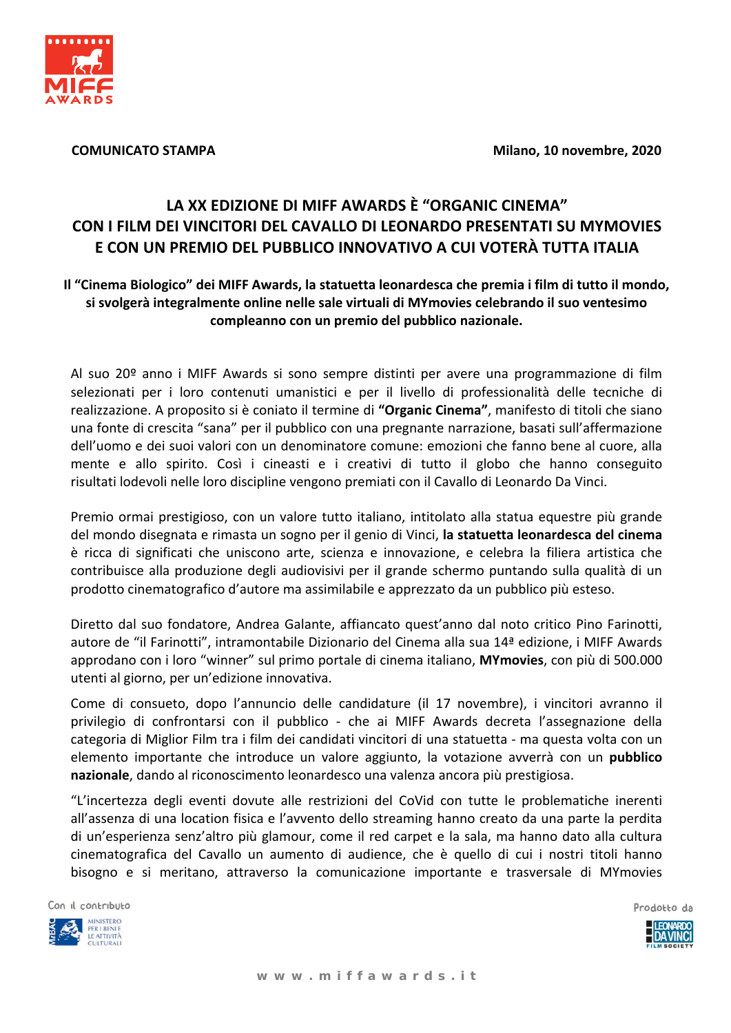

**COMUNICATO STAMPA** 

Milano, 10 novembre, 2020

## LA XX EDIZIONE DI MIFF AWARDS È "ORGANIC CINEMA" CON I FILM DEI VINCITORI DEL CAVALLO DI LEONARDO PRESENTATI SU MYMOVIES E CON UN PREMIO DEL PUBBLICO INNOVATIVO A CUI VOTERÀ TUTTA ITALIA

## Il "Cinema Biologico" dei MIFF Awards, la statuetta leonardesca che premia i film di tutto il mondo, si svolgerà integralmente online nelle sale virtuali di MYmovies celebrando il suo ventesimo compleanno con un premio del pubblico nazionale.

Al suo 20º anno i MIFF Awards si sono sempre distinti per avere una programmazione di film selezionati per i loro contenuti umanistici e per il livello di professionalità delle tecniche di realizzazione. A proposito si è coniato il termine di "Organic Cinema", manifesto di titoli che siano una fonte di crescita "sana" per il pubblico con una pregnante narrazione, basati sull'affermazione dell'uomo e dei suoi valori con un denominatore comune: emozioni che fanno bene al cuore, alla mente e allo spirito. Così i cineasti e i creativi di tutto il globo che hanno conseguito risultati lodevoli nelle loro discipline vengono premiati con il Cavallo di Leonardo Da Vinci.

Premio ormai prestigioso, con un valore tutto italiano, intitolato alla statua equestre più grande del mondo disegnata e rimasta un sogno per il genio di Vinci, la statuetta leonardesca del cinema è ricca di significati che uniscono arte, scienza e innovazione, e celebra la filiera artistica che contribuisce alla produzione degli audiovisivi per il grande schermo puntando sulla qualità di un prodotto cinematografico d'autore ma assimilabile e apprezzato da un pubblico più esteso.

Diretto dal suo fondatore, Andrea Galante, affiancato quest'anno dal noto critico Pino Farinotti, autore de "il Farinotti", intramontabile Dizionario del Cinema alla sua 14ª edizione, i MIFF Awards approdano con i loro "winner" sul primo portale di cinema italiano, MYmovies, con più di 500.000 utenti al giorno, per un'edizione innovativa.

Come di consueto, dopo l'annuncio delle candidature (il 17 novembre), i vincitori avranno il privilegio di confrontarsi con il pubblico - che ai MIFF Awards decreta l'assegnazione della categoria di Miglior Film tra i film dei candidati vincitori di una statuetta - ma questa volta con un elemento importante che introduce un valore aggiunto, la votazione avverrà con un pubblico nazionale, dando al riconoscimento leonardesco una valenza ancora più prestigiosa.

"L'incertezza degli eventi dovute alle restrizioni del CoVid con tutte le problematiche inerenti all'assenza di una location fisica e l'avvento dello streaming hanno creato da una parte la perdita di un'esperienza senz'altro più glamour, come il red carpet e la sala, ma hanno dato alla cultura cinematografica del Cavallo un aumento di audience, che è quello di cui i nostri titoli hanno bisogno e si meritano, attraverso la comunicazione importante e trasversale di MYmovies

Con il contributo